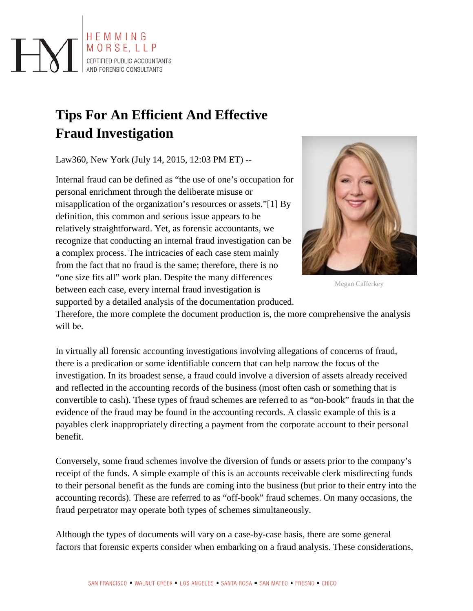

# **Tips For An Efficient And Effective Fraud Investigation**

Law360, New York (July 14, 2015, 12:03 PM ET) --

Internal fraud can be defined as "the use of one's occupation for personal enrichment through the deliberate misuse or misapplication of the organization's resources or assets."[1] By definition, this common and serious issue appears to be relatively straightforward. Yet, as forensic accountants, we recognize that conducting an internal fraud investigation can be a complex process. The intricacies of each case stem mainly from the fact that no fraud is the same; therefore, there is no "one size fits all" work plan. Despite the many differences between each case, every internal fraud investigation is supported by a detailed analysis of the documentation produced.



Megan Cafferkey

Therefore, the more complete the document production is, the more comprehensive the analysis will be.

In virtually all forensic accounting investigations involving allegations of concerns of fraud, there is a predication or some identifiable concern that can help narrow the focus of the investigation. In its broadest sense, a fraud could involve a diversion of assets already received and reflected in the accounting records of the business (most often cash or something that is convertible to cash). These types of fraud schemes are referred to as "on-book" frauds in that the evidence of the fraud may be found in the accounting records. A classic example of this is a payables clerk inappropriately directing a payment from the corporate account to their personal benefit.

Conversely, some fraud schemes involve the diversion of funds or assets prior to the company's receipt of the funds. A simple example of this is an accounts receivable clerk misdirecting funds to their personal benefit as the funds are coming into the business (but prior to their entry into the accounting records). These are referred to as "off-book" fraud schemes. On many occasions, the fraud perpetrator may operate both types of schemes simultaneously.

Although the types of documents will vary on a case-by-case basis, there are some general factors that forensic experts consider when embarking on a fraud analysis. These considerations,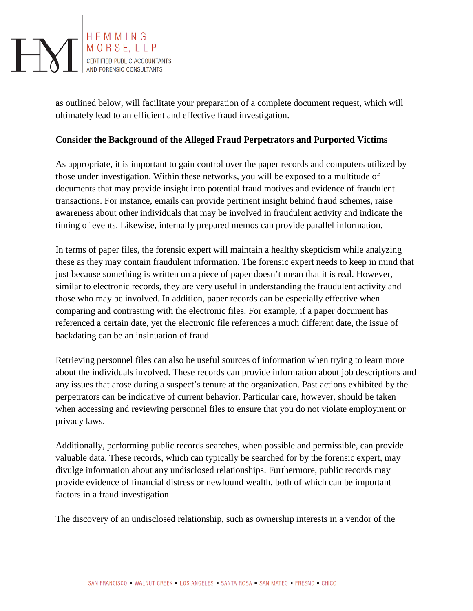

as outlined below, will facilitate your preparation of a complete document request, which will ultimately lead to an efficient and effective fraud investigation.

## **Consider the Background of the Alleged Fraud Perpetrators and Purported Victims**

As appropriate, it is important to gain control over the paper records and computers utilized by those under investigation. Within these networks, you will be exposed to a multitude of documents that may provide insight into potential fraud motives and evidence of fraudulent transactions. For instance, emails can provide pertinent insight behind fraud schemes, raise awareness about other individuals that may be involved in fraudulent activity and indicate the timing of events. Likewise, internally prepared memos can provide parallel information.

In terms of paper files, the forensic expert will maintain a healthy skepticism while analyzing these as they may contain fraudulent information. The forensic expert needs to keep in mind that just because something is written on a piece of paper doesn't mean that it is real. However, similar to electronic records, they are very useful in understanding the fraudulent activity and those who may be involved. In addition, paper records can be especially effective when comparing and contrasting with the electronic files. For example, if a paper document has referenced a certain date, yet the electronic file references a much different date, the issue of backdating can be an insinuation of fraud.

Retrieving personnel files can also be useful sources of information when trying to learn more about the individuals involved. These records can provide information about job descriptions and any issues that arose during a suspect's tenure at the organization. Past actions exhibited by the perpetrators can be indicative of current behavior. Particular care, however, should be taken when accessing and reviewing personnel files to ensure that you do not violate employment or privacy laws.

Additionally, performing public records searches, when possible and permissible, can provide valuable data. These records, which can typically be searched for by the forensic expert, may divulge information about any undisclosed relationships. Furthermore, public records may provide evidence of financial distress or newfound wealth, both of which can be important factors in a fraud investigation.

The discovery of an undisclosed relationship, such as ownership interests in a vendor of the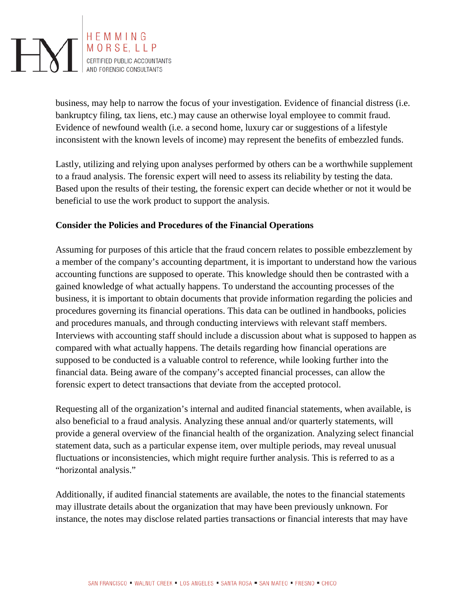

business, may help to narrow the focus of your investigation. Evidence of financial distress (i.e. bankruptcy filing, tax liens, etc.) may cause an otherwise loyal employee to commit fraud. Evidence of newfound wealth (i.e. a second home, luxury car or suggestions of a lifestyle inconsistent with the known levels of income) may represent the benefits of embezzled funds.

Lastly, utilizing and relying upon analyses performed by others can be a worthwhile supplement to a fraud analysis. The forensic expert will need to assess its reliability by testing the data. Based upon the results of their testing, the forensic expert can decide whether or not it would be beneficial to use the work product to support the analysis.

## **Consider the Policies and Procedures of the Financial Operations**

Assuming for purposes of this article that the fraud concern relates to possible embezzlement by a member of the company's accounting department, it is important to understand how the various accounting functions are supposed to operate. This knowledge should then be contrasted with a gained knowledge of what actually happens. To understand the accounting processes of the business, it is important to obtain documents that provide information regarding the policies and procedures governing its financial operations. This data can be outlined in handbooks, policies and procedures manuals, and through conducting interviews with relevant staff members. Interviews with accounting staff should include a discussion about what is supposed to happen as compared with what actually happens. The details regarding how financial operations are supposed to be conducted is a valuable control to reference, while looking further into the financial data. Being aware of the company's accepted financial processes, can allow the forensic expert to detect transactions that deviate from the accepted protocol.

Requesting all of the organization's internal and audited financial statements, when available, is also beneficial to a fraud analysis. Analyzing these annual and/or quarterly statements, will provide a general overview of the financial health of the organization. Analyzing select financial statement data, such as a particular expense item, over multiple periods, may reveal unusual fluctuations or inconsistencies, which might require further analysis. This is referred to as a "horizontal analysis."

Additionally, if audited financial statements are available, the notes to the financial statements may illustrate details about the organization that may have been previously unknown. For instance, the notes may disclose related parties transactions or financial interests that may have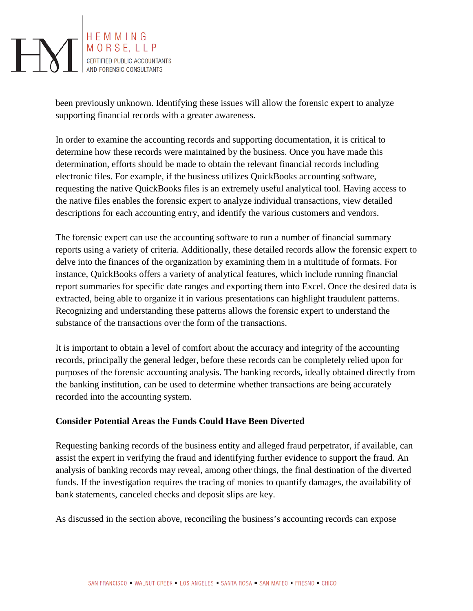

been previously unknown. Identifying these issues will allow the forensic expert to analyze supporting financial records with a greater awareness.

In order to examine the accounting records and supporting documentation, it is critical to determine how these records were maintained by the business. Once you have made this determination, efforts should be made to obtain the relevant financial records including electronic files. For example, if the business utilizes QuickBooks accounting software, requesting the native QuickBooks files is an extremely useful analytical tool. Having access to the native files enables the forensic expert to analyze individual transactions, view detailed descriptions for each accounting entry, and identify the various customers and vendors.

The forensic expert can use the accounting software to run a number of financial summary reports using a variety of criteria. Additionally, these detailed records allow the forensic expert to delve into the finances of the organization by examining them in a multitude of formats. For instance, QuickBooks offers a variety of analytical features, which include running financial report summaries for specific date ranges and exporting them into Excel. Once the desired data is extracted, being able to organize it in various presentations can highlight fraudulent patterns. Recognizing and understanding these patterns allows the forensic expert to understand the substance of the transactions over the form of the transactions.

It is important to obtain a level of comfort about the accuracy and integrity of the accounting records, principally the general ledger, before these records can be completely relied upon for purposes of the forensic accounting analysis. The banking records, ideally obtained directly from the banking institution, can be used to determine whether transactions are being accurately recorded into the accounting system.

# **Consider Potential Areas the Funds Could Have Been Diverted**

Requesting banking records of the business entity and alleged fraud perpetrator, if available, can assist the expert in verifying the fraud and identifying further evidence to support the fraud. An analysis of banking records may reveal, among other things, the final destination of the diverted funds. If the investigation requires the tracing of monies to quantify damages, the availability of bank statements, canceled checks and deposit slips are key.

As discussed in the section above, reconciling the business's accounting records can expose